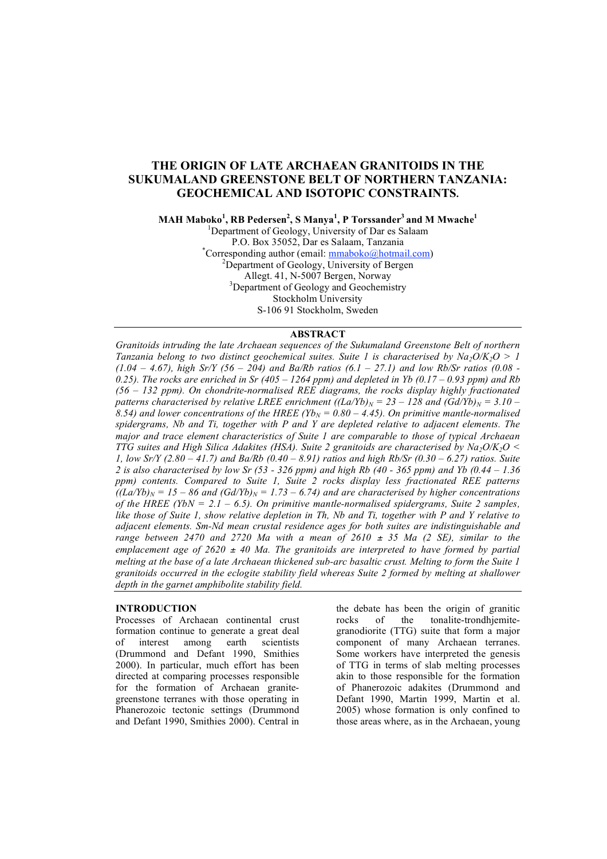# **THE ORIGIN OF LATE ARCHAEAN GRANITOIDS IN THE SUKUMALAND GREENSTONE BELT OF NORTHERN TANZANIA: GEOCHEMICAL AND ISOTOPIC CONSTRAINTS.**

**MAH Maboko<sup>1</sup> , RB Pedersen<sup>2</sup> , S Manya<sup>1</sup> , P Torssander <sup>3</sup> and M Mwache 1**

<sup>1</sup>Department of Geology, University of Dar es Salaam P.O. Box 35052, Dar es Salaam, Tanzania \* \*Corresponding author (email: **mmaboko@hotmail.com)** <sup>2</sup>Department of Geology, University of Bergen Allegt. 41, N-5007 Bergen, Norway <sup>3</sup>Department of Geology and Geochemistry Stockholm University S-106 91 Stockholm, Sweden

# **ABSTRACT**

*Granitoids intruding the late Archaean sequences of the Sukumaland Greenstone Belt of northern Tanzania belong to two distinct* geochemical suites. Suite 1 is characterised by  $Na_2O/K_2O > 1$  $(1.04 - 4.67)$ , high Sr/Y (56 - 204) and Ba/Rb ratios (6.1 - 27.1) and low Rb/Sr ratios (0.08 -0.25). The rocks are enriched in Sr (405 – 1264 ppm) and depleted in Yb (0.17 – 0.93 ppm) and Rb *(56 – 132 ppm). On chondrite-normalised REE diagrams, the rocks display highly fractionated patterns characterised by relative LREE enrichment*  $((LaYb)<sub>N</sub> = 23 – 128$  *and*  $((GdYb)<sub>N</sub> = 3.10 – 128)$  $\overline{R}$ , 8.54) and lower concentrations of the HREE (Yb<sub>N</sub> = 0.80 – 4.45). On primitive mantle-normalised *spidergrams, Nb and Ti, together with P and Y are depleted relative to adjacent elements. The major and trace element characteristics of Suite 1 are comparable to those of typical Archaean TTG suites and High Silica Adakites (HSA). Suite 2 granitoids are characterised by Na2O/K2O <* 1, low Sr/Y (2.80 - 41.7) and Ba/Rb (0.40 - 8.91) ratios and high Rb/Sr (0.30 - 6.27) ratios. Suite 2 is also characterised by low Sr (53 - 326 ppm) and high Rb (40 - 365 ppm) and Yb (0.44 - 1.36 *ppm) contents. Compared to Suite 1, Suite 2 rocks display less fractionated REE patterns*  $\int (La/Yb)_N = 15 - 86$  and  $(Gd/Yb)_N = 1.73 - 6.74$  and are characterised by higher concentrations *of the HREE (YbN = 2.1 – 6.5). On primitive mantle-normalised spidergrams, Suite 2 samples,* like those of Suite 1, show relative depletion in Th, Nb and Ti, together with P and Y relative to *adjacent elements. Sm-Nd mean crustal residence ages for both suites are indistinguishable and range between* 2470 *and* 2720 *Ma with a mean of* 2610  $\pm$  35 *Ma* (2 *SE)*, *similar to the emplacement age of 2620* <sup>±</sup> *40 Ma. The granitoids are interpreted to have formed by partial* melting at the base of a late Archaean thickened sub-arc basaltic crust. Melting to form the Suite 1 *granitoids occurred in the eclogite stability field whereas Suite 2 formed by melting at shallower depth in the garnet amphibolite stability field.*

# **INTRODUCTION**

Processes of Archaean continental crust formation continue to generate a great deal of interest among earth scientists (Drummond and Defant 1990, Smithies 2000). In particular, much effort has been directed at comparing processes responsible for the formation of Archaean granitegreenstone terranes with those operating in Phanerozoic tectonic settings (Drummond and Defant 1990, Smithies 2000). Central in

the debate has been the origin of granitic rocks of the tonalite-trondhjemitegranodiorite (TTG) suite that form a major component of many Archaean terranes. Some workers have interpreted the genesis of TTG in terms of slab melting processes akin to those responsible for the formation of Phanerozoic adakites (Drummond and Defant 1990, Martin 1999, Martin et al. 2005) whose formation is only confined to those areas where, as in the Archaean, young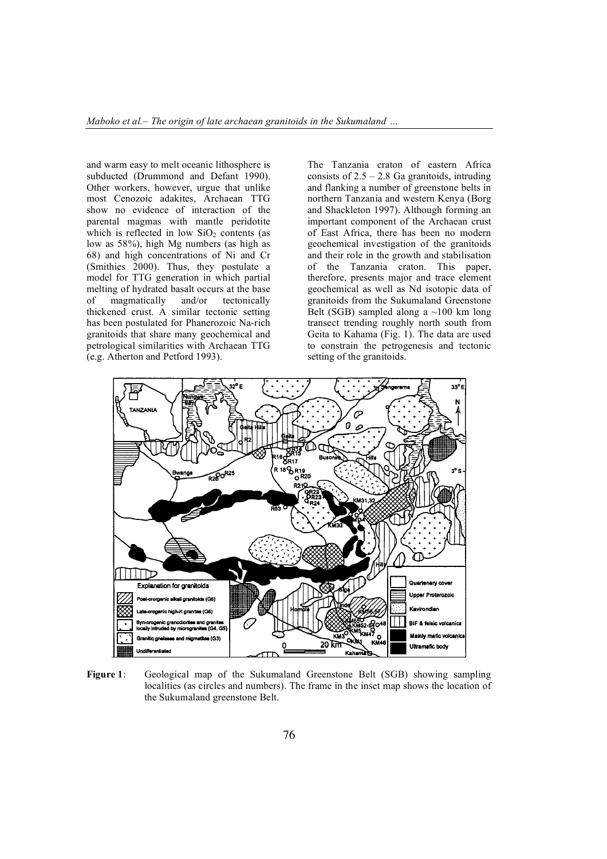and warm easy to melt oceanic lithosphere is subducted (Drummond and Defant 1990). Other workers, however, urgue that unlike most Cenozoic adakites, Archaean TTG show no evidence of interaction of the parental magmas with mantle peridotite which is reflected in low  $SiO<sub>2</sub>$  contents (as low as 58%), high Mg numbers (as high as 68) and high concentrations of Ni and Cr (Smithies 2000). Thus, they postulate a model for TTG generation in which partial melting of hydrated basalt occurs at the base of magmatically and/or tectonically thickened crust. A similar tectonic setting has been postulated for Phanerozoic Na-rich granitoids that share many geochemical and petrological similarities with Archaean TTG (e.g. Atherton and Petford 1993).

The Tanzania craton of eastern Africa consists of  $2.5 - 2.8$  Ga granitoids, intruding and flanking a number of greenstone belts in northern Tanzania and western Kenya (Borg and Shackleton 1997). Although forming an important component of the Archaean crust of East Africa, there has been no modern geochemical investigation of the granitoids and their role in the growth and stabilisation of the Tanzania craton. This paper, therefore, presents major and trace element geochemical as well as Nd isotopic data of granitoids from the Sukumaland Greenstone Belt (SGB) sampled along a  $\sim$ 100 km long transect trending roughly north south from Geita to Kahama (Fig. 1). The data are used to constrain the petrogenesis and tectonic setting of the granitoids.



**Figure 1**: Geological map of the Sukumaland Greenstone Belt (SGB) showing sampling localities (as circles and numbers). The frame in the inset map shows the location of the Sukumaland greenstone Belt.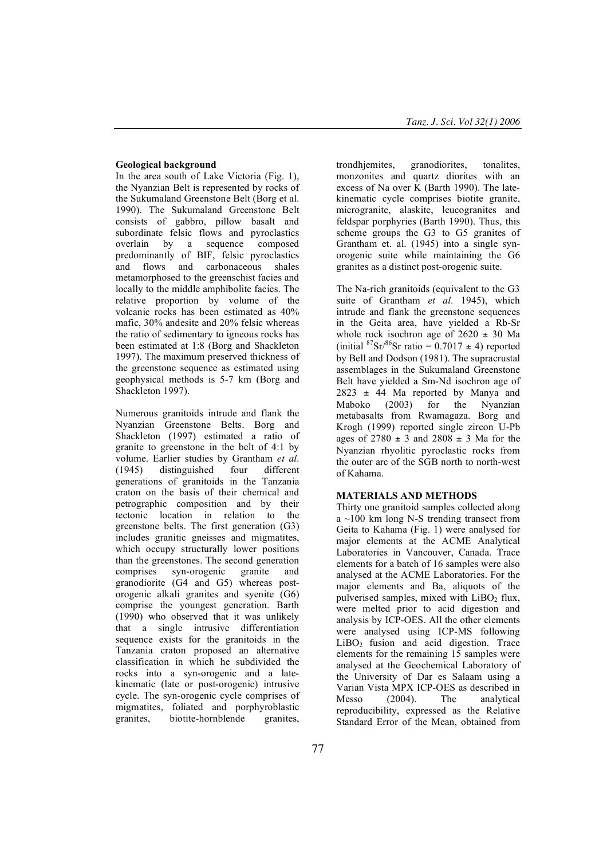## **Geological background**

In the area south of Lake Victoria (Fig. 1), the Nyanzian Belt is represented by rocks of the Sukumaland Greenstone Belt (Borg et al. 1990). The Sukumaland Greenstone Belt consists of gabbro, pillow basalt and subordinate felsic flows and pyroclastics overlain by a sequence composed predominantly of BIF, felsic pyroclastics and flows and carbonaceous shales metamorphosed to the greenschist facies and locally to the middle amphibolite facies. The relative proportion by volume of the volcanic rocks has been estimated as 40% mafic, 30% andesite and 20% felsic whereas the ratio of sedimentary to igneous rocks has been estimated at 1:8 (Borg and Shackleton 1997). The maximum preserved thickness of the greenstone sequence as estimated using geophysical methods is 5-7 km (Borg and Shackleton 1997).

Numerous granitoids intrude and flank the Nyanzian Greenstone Belts. Borg and Shackleton (1997) estimated a ratio of granite to greenstone in the belt of 4:1 by volume. Earlier studies by Grantham *et al.*<br>(1945) distinguished four different (1945) distinguished four different generations of granitoids in the Tanzania craton on the basis of their chemical and petrographic composition and by their tectonic location in relation to the greenstone belts. The first generation (G3) includes granitic gneisses and migmatites, which occupy structurally lower positions than the greenstones. The second generation comprises syn-orogenic granite and granodiorite (G4 and G5) whereas postorogenic alkali granites and syenite (G6) comprise the youngest generation. Barth (1990) who observed that it was unlikely that a single intrusive differentiation sequence exists for the granitoids in the Tanzania craton proposed an alternative classification in which he subdivided the rocks into a syn-orogenic and a latekinematic (late or post-orogenic) intrusive cycle. The syn-orogenic cycle comprises of migmatites, foliated and porphyroblastic granites, biotite-hornblende granites,

trondhjemites, granodiorites, tonalites, monzonites and quartz diorites with an excess of Na over  $\tilde{K}$  (Barth 1990). The latekinematic cycle comprises biotite granite, microgranite, alaskite, leucogranites and feldspar porphyries (Barth 1990). Thus, this scheme groups the G3 to G5 granites of Grantham et. al. (1945) into a single synorogenic suite while maintaining the G6 granites as a distinct post-orogenic suite.

The Na-rich granitoids (equivalent to the G3 suite of Grantham *et al.* 1945), which intrude and flank the greenstone sequences in the Geita area, have yielded a Rb-Sr whole rock isochron age of  $2620 \pm 30$  Ma (initial  ${}^{87}Sr/{}^{86}Sr$  ratio = 0.7017  $\pm$  4) reported by Bell and Dodson (1981). The supracrustal assemblages in the Sukumaland Greenstone Belt have yielded a Sm-Nd isochron age of  $2823 \pm 44$  Ma reported by Manya and Maboko (2003) for the Nyanzian metabasalts from Rwamagaza. Borg and Krogh (1999) reported single zircon U-Pb ages of  $2780 \pm 3$  and  $2808 \pm 3$  Ma for the Nyanzian rhyolitic pyroclastic rocks from the outer arc of the SGB north to north-west of Kahama.

# **MATERIALS AND METHODS**

Thirty one granitoid samples collected along  $a \sim 100$  km long N-S trending transect from Geita to Kahama (Fig. 1) were analysed for major elements at the ACME Analytical Laboratories in Vancouver, Canada. Trace elements for a batch of 16 samples were also analysed at the ACME Laboratories. For the major elements and Ba, aliquots of the pulverised samples, mixed with  $LiBO<sub>2</sub> flux$ , were melted prior to acid digestion and analysis by ICP-OES. All the other elements were analysed using ICP-MS following  $LiBO<sub>2</sub>$  fusion and acid digestion. Trace elements for the remaining 15 samples were analysed at the Geochemical Laboratory of the University of Dar es Salaam using a Varian Vista MPX ICP-OES as described in Messo (2004) The analytical reproducibility, expressed as the Relative Standard Error of the Mean, obtained from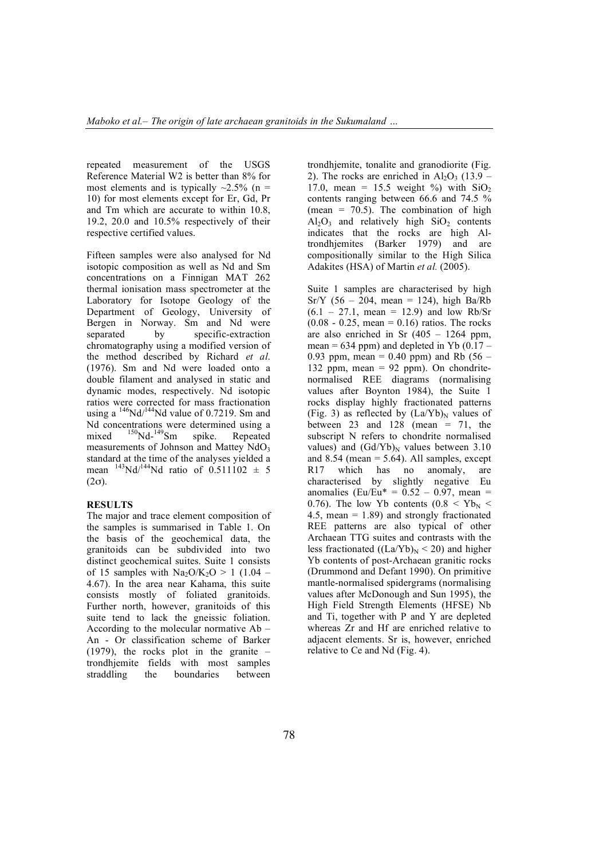repeated measurement of the USGS Reference Material W2 is better than 8% for most elements and is typically  $\sim$ 2.5% (n = 10) for most elements except for Er, Gd, Pr and Tm which are accurate to within 10.8, 19.2, 20.0 and 10.5% respectively of their respective certified values.

Fifteen samples were also analysed for Nd isotopic composition as well as Nd and Sm concentrations on a Finnigan MAT 262 thermal ionisation mass spectrometer at the Laboratory for Isotope Geology of the Department of Geology, University of Bergen in Norway. Sm and Nd were separated by specific-extraction chromatography using a modified version of the method described by Richard *et al*. (1976). Sm and Nd were loaded onto a double filament and analysed in static and dynamic modes, respectively. Nd isotopic ratios were corrected for mass fractionation using a  $\frac{146}{144}$ Nd value of 0.7219. Sm and Nd concentrations were determined using a mixed <sup>150</sup>Nd-<sup>149</sup>Sm spike. Repeated measurements of Johnson and Mattey  $NdO<sub>3</sub>$ standard at the time of the analyses yielded a mean  $^{143}$ Nd/<sup>144</sup>Nd ratio of 0.511102  $\pm$  5  $(2\sigma)$ .

## **RESULTS**

The major and trace element composition of the samples is summarised in Table 1. On the basis of the geochemical data, the granitoids can be subdivided into two distinct geochemical suites. Suite 1 consists of 15 samples with  $Na_2O/K_2O > 1$  (1.04 – 4.67). In the area near Kahama, this suite consists mostly of foliated granitoids. Further north, however, granitoids of this suite tend to lack the gneissic foliation. According to the molecular normative Ab – An - Or classification scheme of Barker (1979), the rocks plot in the granite – trondhjemite fields with most samples straddling the boundaries between

trondhjemite, tonalite and granodiorite (Fig. 2). The rocks are enriched in  $Al_2O_3$  (13.9 – 17.0, mean = 15.5 weight %) with  $SiO<sub>2</sub>$ contents ranging between 66.6 and 74.5 % (mean =  $70.5$ ). The combination of high  $Al_2O_3$  and relatively high  $SiO_2$  contents indicates that the rocks are high Altrondhjemites (Barker 1979) and are compositionally similar to the High Silica Adakites (HSA) of Martin *et al.* (2005).

Suite 1 samples are characterised by high  $Sr/Y$  (56 – 204, mean = 124), high Ba/Rb  $(6.1 - 27.1, \text{ mean} = 12.9)$  and low Rb/Sr  $(0.08 - 0.25, \text{ mean} = 0.16)$  ratios. The rocks are also enriched in Sr  $(405 - 1264$  ppm, mean =  $634$  ppm) and depleted in Yb  $(0.17 -$ 0.93 ppm, mean = 0.40 ppm) and Rb  $(56 -$ 132 ppm, mean = 92 ppm). On chondritenormalised REE diagrams (normalising values after Boynton 1984), the Suite 1 rocks display highly fractionated patterns (Fig. 3) as reflected by  $(La/Yb)<sub>N</sub>$  values of between 23 and 128 (mean  $= 71$ , the subscript N refers to chondrite normalised values) and  $(Gd/Yb)<sub>N</sub>$  values between 3.10 and  $8.54$  (mean  $= 5.64$ ). All samples, except R17 which has no anomaly, are characterised by slightly negative Eu anomalies (Eu/Eu\* =  $0.52 - 0.97$ , mean = 0.76). The low Yb contents  $(0.8 \le Yb_N \le$ 4.5, mean  $= 1.89$ ) and strongly fractionated REE patterns are also typical of other Archaean TTG suites and contrasts with the less fractionated  $((La/Yb)<sub>N</sub> < 20)$  and higher Yb contents of post-Archaean granitic rocks (Drummond and Defant 1990). On primitive mantle-normalised spidergrams (normalising values after McDonough and Sun 1995), the High Field Strength Elements (HFSE) Nb and Ti, together with P and Y are depleted whereas Zr and Hf are enriched relative to adjacent elements. Sr is, however, enriched relative to Ce and Nd (Fig. 4).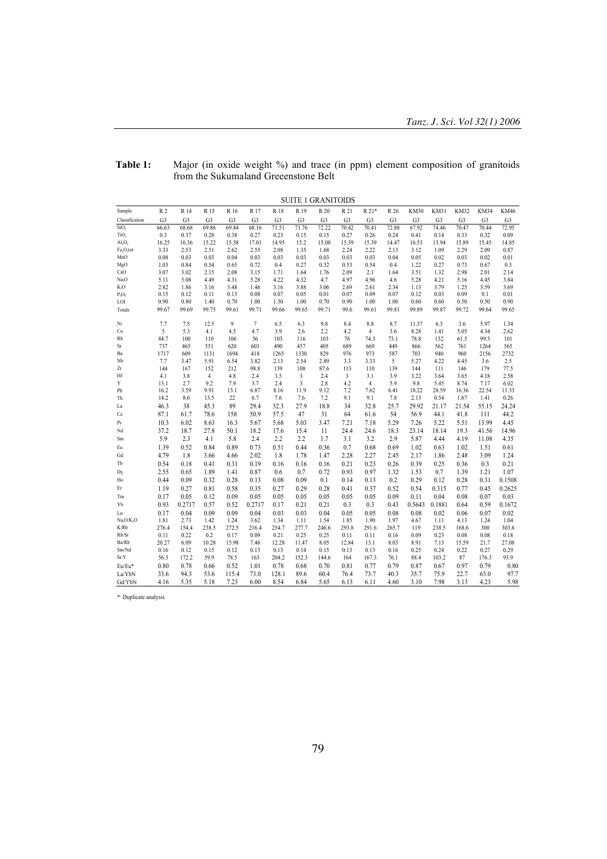|                                    |                |                |                |                |                |                | SUITE 1 GRANITOIDS |                |                |                        |                |                |                |                |               |                |
|------------------------------------|----------------|----------------|----------------|----------------|----------------|----------------|--------------------|----------------|----------------|------------------------|----------------|----------------|----------------|----------------|---------------|----------------|
| Sample                             | R <sub>2</sub> | R 14           | R 15           | R 16           | R 17           | R 18           | R 19               | R 20           | R 21           | R 21*                  | R 26           | <b>KM30</b>    | <b>KM31</b>    | <b>KM32</b>    | KM34          | <b>KM46</b>    |
| Classification                     | G <sub>3</sub> | G <sub>3</sub> | G <sub>3</sub> | G <sub>3</sub> | G <sub>3</sub> | G <sub>3</sub> | G <sub>3</sub>     | G <sub>3</sub> | G <sub>3</sub> | G <sub>3</sub>         | G <sub>3</sub> | G <sub>3</sub> | G <sub>3</sub> | G <sub>3</sub> | G3            | G <sub>3</sub> |
| SiO <sub>2</sub>                   | 66.63          | 68.68          | 69.86          | 69.84          | 68.16          | 71.51          | 71.76              | 72.22          | 70.42          | 70.41                  | 72.88          | 67.92          | 74.46          | 70.47          | 70.44         | 72.95          |
| TiO <sub>2</sub>                   | 0.3            | 0.37           | 0.28           | 0.38           | 0.27           | 0.23           | 0.15               | 0.15           | 0.27           | 0.26                   | 0.24           | 0.41           | 0.14           | 0.33           | 0.32          | 0.09           |
| Al <sub>2</sub> O <sub>3</sub>     | 16.25          | 16.36          | 15.22          | 15.38          | 17.01          | 14.95          | 15.2               | 15.08          | 15.39          | 15.39                  | 14.47          | 16.53          | 13.94          | 15.89          | 15.45         | 14.85          |
| $Fe2O3$ tot                        | 3.33           | 2.53           | 2.51           | 2.62           | 2.55           | 2.08           | 1.35               | 1.68           | 2.24           | 2.22                   | 2.13           | 3.12           | 1.09           | 2.29           | 2.09          | 0.87           |
| MnO                                | 0.08           | 0.03           | 0.03           | 0.04           | 0.03           | 0.03           | 0.03               | 0.03           | 0.03           | 0.03                   | 0.04           | 0.05           | 0.02           | 0.03           | 0.02          | 0.01           |
| MgO<br>CaO                         | 1.03           | 0.84           | 0.54           | 0.65           | 0.72           | 0.4            | 0.27               | 0.32           | 0.53           | 0.54                   | 0.4            | 1.22           | 0.27           | 0.73           | 0.67          | 0.3            |
| Na <sub>2</sub> O                  | 3.07<br>5.11   | 3.02<br>5.08   | 2.15<br>4.49   | 2.08<br>4.31   | 3.15<br>5.28   | 1.71<br>4.22   | 1.64<br>4.32       | 1.76<br>4.7    | 2.09<br>4.97   | 2.1<br>4.96            | 1.64<br>4.6    | 3.51<br>5.28   | 1.32<br>4.21   | 2.98<br>5.16   | 2.01<br>4.45  | 2.14<br>3.84   |
| $K_2O$                             | 2.82           | 1.86           | 3.16           | 3.48           | 1.46           | 3.16           | 3.88               | 3.06           | 2.69           | 2.61                   | 2.34           | 1.13           | 3.79           | 1.25           | 3.59          | 3.69           |
| $P_2O_5$                           | 0.15           | 0.12           | 0.11           | 0.13           | 0.08           | 0.07           | 0.05               | 0.01           | 0.07           | 0.09                   | 0.07           | 0.12           | 0.03           | 0.09           | 0.1           | 0.01           |
| LOI                                | 0.90           | 0.80           | 1.40           | 0.70           | 1.00           | 1.30           | 1.00               | 0.70           | 0.90           | 1.00                   | 1.00           | 0.60           | 0.60           | 0.50           | 0.50          | 0.90           |
| Totals                             | 99.67          | 99.69          | 99.75          | 99.61          | 99.71          | 99.66          | 99.65              | 99.71          | 99.6           | 99.61                  | 99.81          | 99.89          | 99.87          | 99.72          | 99.64         | 99.65          |
|                                    |                |                |                |                |                |                |                    |                |                |                        |                |                |                |                |               |                |
| Ni                                 | 7.7            | 7.5            | 12.5           | 9              | 7              | 6.5            | 6.3                | 9.8            | 8.4            | 8.8                    | 8.7            | 11.37          | 6.3            | 3.6            | 5.97          | 1.34           |
| Co                                 | 5              | 5.3            | 4.1            | 4.5            | 4.7            | 3.9            | 2.6                | 2.2            | 4.2            | $\overline{4}$         | 3.6            | 8.28           | 1.41           | 5.05           | 4.34          | 2.62           |
| Rb                                 | 84.7           | 100            | 110            | 106            | 56             | 103            | 116                | 103            | 76             | 74.3                   | 73.1           | 78.8           | 132            | 61.5           | 99.3          | 101            |
| Sr                                 | 737            | 465            | 551            | 620            | 603            | 490            | 457                | 405            | 689            | 669                    | 449            | 866            | 562            | 761            | 1264          | 565            |
| Ba                                 | 1717           | 609            | 1131           | 1694           | 418            | 1265           | 1330               | 829            | 976            | 973                    | 587            | 703            | 940            | 960            | 2156          | 2732           |
| Nb                                 | 7.7            | 3.47           | 5.91           | 6.54           | 3.82           | 2.13           | 2.54               | 2.89           | 3.3            | 3.33                   | 5              | 5.27           | 4.22           | 4.45           | 3.6           | 2.5            |
| Zr                                 | 144            | 167            | 152            | 212            | 98.8           | 139            | 108                | 87.6           | 113            | 110                    | 139            | 144            | 111            | 146            | 179           | 77.5           |
| Hf<br>Y                            | 4.1            | 3.8            | $\overline{4}$ | 4.8            | 2.4            | 3.5            | 3                  | 2.4            | 3              | 3.1                    | 3.9            | 3.22           | 3.64           | 3.65           | 4.18          | 2.58           |
| Pb                                 | 13.1<br>16.2   | 2.7<br>3.59    | 9.2<br>9.91    | 7.9<br>13.1    | 3.7<br>6.87    | 2.4<br>8.16    | 3<br>11.9          | 2.8<br>9.12    | 4.2<br>7.2     | $\overline{4}$<br>7.62 | 5.9<br>6.41    | 9.8<br>18.22   | 5.45<br>28.59  | 8.74<br>16.36  | 7.17<br>22.54 | 6.02<br>11.33  |
| Th                                 | 14.2           | 8.6            | 13.5           | 22             | 6.7            | 7.6            | 7.6                | 7.2            | 9.1            | 9.1                    | 7.8            | 2.13           | 0.54           | 1.67           | 1.41          | 0.26           |
| La                                 | 46.3           | 38             | 45.3           | 89             | 29.4           | 32.3           | 27.9               | 18.8           | 34             | 32.8                   | 25.7           | 29.92          | 21.17          | 21.54          | 55.15         | 24.24          |
| Ce                                 |                |                | 78.6           |                |                |                | 47                 | 31             | 64             |                        | 54             | 56.9           |                |                |               | 44.2           |
|                                    | 87.1           | 61.7           |                | 158            | 50.9           | 57.5           |                    |                |                | 61.6                   |                |                | 44.1           | 41.8           | 111           |                |
| Pr                                 | 10.3           | 6.02           | 8.63           | 16.3           | 5.67           | 5.68           | 5.03               | 3.47           | 7.21           | 7.18                   | 5.29           | 7.26           | 5.22           | 5.51           | 13.99         | 4.45           |
| Nd                                 | 37.2           | 18.7           | 27.8           | 50.1           | 18.2           | 17.6           | 15.4               | 11             | 24.4           | 24.6                   | 18.3           | 23.14          | 18.14          | 19.3           | 41.56         | 14.96          |
| Sm                                 | 5.9            | 2.3            | 4.1            | 5.8            | 2.4            | 2.2            | 2.2                | 1.7            | 3.1            | 3.2                    | 2.9            | 5.87           | 4.44           | 4.19           | 11.08         | 4.35           |
| Eu                                 | 1.39           | 0.52           | 0.84           | 0.89           | 0.73           | 0.51           | 0.44               | 0.36           | 0.7            | 0.68                   | 0.69           | 1.02           | 0.63           | 1.02           | 1.51          | 0.61           |
| Gd                                 | 4.79           | 1.8            | 3.66           | 4.66           | 2.02           | 1.8            | 1.78               | 1.47           | 2.28           | 2.27                   | 2.45           | 2.17           | 1.86           | 2.48           | 3.09          | 1.24           |
| Tb                                 | 0.54           | 0.18           | 0.41           | 0.31           | 0.19           | 0.16           | 0.16               | 0.16           | 0.21           | 0.23                   | 0.26           | 0.39           | 0.25           | 0.36           | 0.3           | 0.21           |
| Dy                                 | 2.55           | 0.65           | 1.89           | 1.41           | 0.87           | 0.6            | 0.7                | 0.72           | 0.93           | 0.97                   | 1.32           | 1.53           | 0.7            | 1.39           | 1.21          | 1.07           |
| Ho                                 | 0.44           | 0.09           | 0.32           | 0.28           | 0.13           | 0.08           | 0.09               | 0.1            | 0.14           | 0.13                   | 0.2            | 0.29           | 0.12           | 0.28           | 0.31          | 0.1508         |
| Er                                 | 1.19           | 0.27           | 0.81           | 0.58           | 0.35           | 0.27           | 0.29               | 0.28           | 0.41           | 0.37                   | 0.52           | 0.54           | 0.315          | 0.77           | 0.45          | 0.2625         |
| Tm                                 | 0.17           | 0.05           | 0.12           | 0.09           | 0.05           | 0.05           | 0.05               | 0.05           | 0.05           | 0.05                   | 0.09           | 0.11           | 0.04           | 0.08           | 0.07          | 0.03           |
| Yb                                 | 0.93           | 0.2717         | 0.57           | 0.52           | 0.2717         | 0.17           | 0.21               | 0.21           | 0.3            | 0.3                    | 0.43           | 0.5643         | 0.1881         | 0.64           | 0.59          | 0.1672         |
| Lu                                 | 0.17           | 0.04           | 0.09           | 0.09           | 0.04           | 0.03           | 0.03               | 0.04           | 0.05           | 0.05                   | 0.08           | 0.08           | 0.02           | 0.06           | 0.07          | 0.02           |
| Na <sub>2</sub> O/K <sub>2</sub> O | 1.81           | 2.73           | 1.42           | 1.24           | 3.62           | 1.34           | 1.11               | 1.54           | 1.85           | 1.90                   | 1.97           | 4.67           | 1.11           | 4.13           | 1.24          | 1.04           |
| K/Rb                               | 276.4          | 154.4          | 238.5          | 272.5          | 216.4          | 254.7          | 277.7              | 246.6          | 293.8          | 291.6                  | 265.7          | 119            | 238.5          | 168.6          | 300           | 303.6          |
| Rb/Sr                              | 0.11           | 0.22           | 0.2            | 0.17           | 0.09           | 0.21           | 0.25               | 0.25           | 0.11           | 0.11                   | 0.16           | 0.09           | 0.23           | 0.08           | 0.08          | 0.18           |
| Ba/Rb                              | 20.27          | 6.09           | 10.28          | 15.98          | 7.46           | 12.28          | 11.47              | 8.05           | 12.84          | 13.1                   | 8.03           | 8.91           | 7.13           | 15.59          | 21.7          | 27.08          |
| Sm/Nd                              | 0.16           | 0.12           | 0.15           | 0.12           | 0.13           | 0.13           | 0.14               | 0.15           | 0.13           | 0.13                   | 0.16           | 0.25           | 0.24           | 0.22           | 0.27          | 0.29           |
| Sr/Y                               | 56.3           | 172.2          | 59.9           | 78.5           | 163            | 204.2          | 152.3              | 144.6          | 164            | 167.3                  | 76.1           | 88.4           | 103.2          | 87             | 176.3         | 93.9           |
| Eu/Eu*                             | 0.80           | 0.78           | 0.66           | 0.52           | 1.01           | 0.78           | 0.68               | 0.70           | 0.81           | 0.77                   | 0.79           | 0.87           | 0.67           | 0.97           | 0.79          | 0.80           |
| La/YbN                             | 33.6           | 94.3           | 53.6           | 115.4          | 73.0           | 128.1          | 89.6               | 60.4           | 76.4           | 73.7                   | 40.3           | 35.7           | 75.9           | 22.7           | 63.0          | 97.7           |
| Gd/YbN                             | 4.16           | 5.35           | 5.18           | 7.23           | 6.00           | 8.54           | 6.84               | 5.65           | 6.13           | 6.11                   | 4.60           | 3.10           | 7.98           | 3.13           | 4.23          | 5.98           |

**Table 1:** Major (in oxide weight %) and trace (in ppm) element composition of granitoids from the Sukumaland Greeenstone Belt

\* Duplicate analysis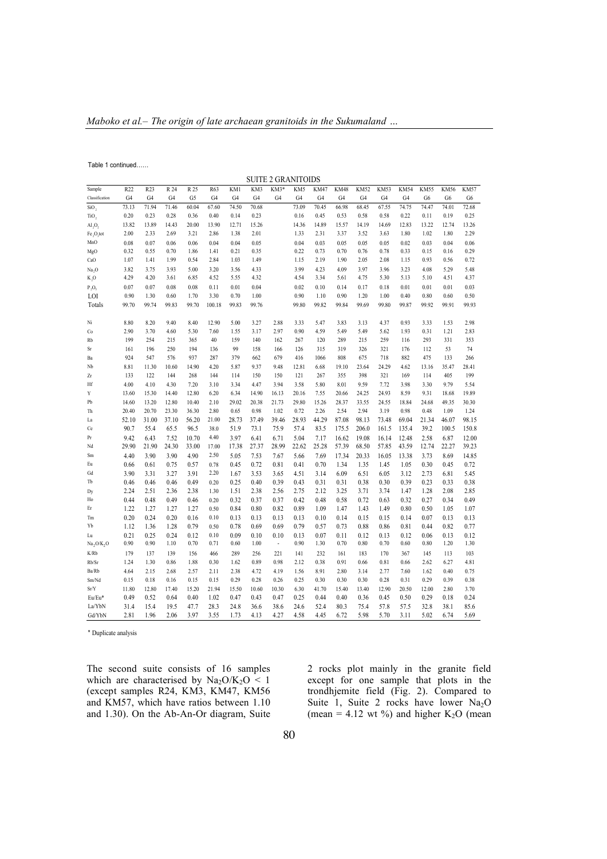Table 1 continued……

| <b>SUITE 2 GRANITOIDS</b>          |                 |                  |                |                 |        |                |                |                          |       |             |                |                |             |             |                |                |             |
|------------------------------------|-----------------|------------------|----------------|-----------------|--------|----------------|----------------|--------------------------|-------|-------------|----------------|----------------|-------------|-------------|----------------|----------------|-------------|
| Sample                             | R <sub>22</sub> | R <sub>2</sub> 3 | R 24           | R <sub>25</sub> | R63    | KM1            | KM3            | KM3*                     | KM5   | <b>KM47</b> | <b>KM48</b>    | <b>KM52</b>    | <b>KM53</b> | <b>KM54</b> | <b>KM55</b>    | <b>KM56</b>    | <b>KM57</b> |
| Classification                     | G <sub>4</sub>  | G <sub>4</sub>   | G <sub>4</sub> | G5              | G4     | G <sub>4</sub> | G <sub>4</sub> | G4                       | G4    | G4          | G <sub>4</sub> | G <sub>4</sub> | G4          | G4          | G <sub>6</sub> | G <sub>6</sub> | G6          |
| SiO,                               | 73.13           | 71.94            | 71.46          | 60.04           | 67.60  | 74.50          | 70.68          |                          | 73.09 | 70.45       | 66.98          | 68.45          | 67.55       | 74.75       | 74.47          | 74.01          | 72.68       |
| TiO,                               | 0.20            | 0.23             | 0.28           | 0.36            | 0.40   | 0.14           | 0.23           |                          | 0.16  | 0.45        | 0.53           | 0.58           | 0.58        | 0.22        | 0.11           | 0.19           | 0.25        |
| $\mathrm{Al}_{2}\mathrm{O}_{2}$    | 13.82           | 13.89            | 14.43          | 20.00           | 13.90  | 12.71          | 15.26          |                          | 14.36 | 14.89       | 15.57          | 14.19          | 14.69       | 12.83       | 13.22          | 12.74          | 13.26       |
| $Fe2O3$ tot                        | 2.00            | 2.33             | 2.69           | 3.21            | 2.86   | 1.38           | 2.01           |                          | 1.33  | 2.31        | 3.37           | 3.52           | 3.63        | 1.80        | 1.02           | 1.80           | 2.29        |
| MnO                                | 0.08            | 0.07             | 0.06           | 0.06            | 0.04   | 0.04           | 0.05           |                          | 0.04  | 0.03        | 0.05           | 0.05           | 0.05        | 0.02        | 0.03           | 0.04           | 0.06        |
| MgO                                | 0.32            | 0.55             | 0.70           | 1.86            | 1.41   | 0.21           | 0.35           |                          | 0.22  | 0.73        | 0.70           | 0.76           | 0.78        | 0.33        | 0.15           | 0.16           | 0.29        |
| CaO                                | 1.07            | 1.41             | 1.99           | 0.54            | 2.84   | 1.03           | 1.49           |                          | 1.15  | 2.19        | 1.90           | 2.05           | 2.08        | 1.15        | 0.93           | 0.56           | 0.72        |
| Na <sub>2</sub> O                  | 3.82            | 3.75             | 3.93           | 5.00            | 3.20   | 3.56           | 4.33           |                          | 3.99  | 4.23        | 4.09           | 3.97           | 3.96        | 3.23        | 4.08           | 5.29           | 5.48        |
| K, O                               | 4.29            | 4.20             | 3.61           | 6.85            | 4.52   | 5.55           | 4.32           |                          | 4.54  | 3.34        | 5.61           | 4.75           | 5.30        | 5.13        | 5.10           | 4.51           | 4.37        |
| $P_2O_5$                           | 0.07            | 0.07             | 0.08           | 0.08            | 0.11   | 0.01           | 0.04           |                          | 0.02  | 0.10        | 0.14           | 0.17           | 0.18        | 0.01        | 0.01           | 0.01           | 0.03        |
| LOI                                | 0.90            | 1.30             | 0.60           | 1.70            | 3.30   | 0.70           | 1.00           |                          | 0.90  | 1.10        | 0.90           | 1.20           | 1.00        | 0.40        | 0.80           | 0.60           | 0.50        |
| Totals                             | 99.70           | 99.74            | 99.83          | 99.70           | 100.18 | 99.83          | 99.76          |                          | 99.80 | 99.82       | 99.84          | 99.69          | 99.80       | 99.87       | 99.92          | 99.91          | 99.93       |
|                                    |                 |                  |                |                 |        |                |                |                          |       |             |                |                |             |             |                |                |             |
| Ni                                 | 8.80            | 8.20             | 9.40           | 8.40            | 12.90  | 5.00           | 3.27           | 2.88                     | 3.33  | 5.47        | 3.83           | 3.13           | 4.37        | 0.93        | 3.33           | 1.53           | 2.98        |
| Co                                 | 2.90            | 3.70             | 4.60           | 5.30            | 7.60   | 1.55           | 3.17           | 2.97                     | 0.90  | 4.59        | 5.49           | 5.49           | 5.62        | 1.93        | 0.31           | 1.21           | 2.83        |
| Rb                                 | 199             | 254              | 215            | 365             | 40     | 159            | 140            | 162                      | 267   | 120         | 289            | 215            | 259         | 116         | 293            | 331            | 353         |
| Sr                                 | 161             | 196              | 250            | 194             | 136    | 99             | 158            | 166                      | 126   | 315         | 319            | 326            | 321         | 176         | 112            | 53             | 74          |
| Ba                                 | 924             | 547              | 576            | 937             | 287    | 379            | 662            | 679                      | 416   | 1066        | 808            | 675            | 718         | 882         | 475            | 133            | 266         |
| Nb                                 | 8.81            | 11.30            | 10.60          | 14.90           | 4.20   | 5.87           | 9.37           | 9.48                     | 12.81 | 6.68        | 19.10          | 23.64          | 24.29       | 4.62        | 13.16          | 35.47          | 28.41       |
| Zr                                 | 133             | 122              | 144            | 268             | 144    | 114            | 150            | 150                      | 121   | 267         | 355            | 398            | 321         | 169         | 114            | 405            | 199         |
| Hf                                 | 4.00            | 4.10             | 4.30           | 7.20            | 3.10   | 3.34           | 4.47           | 3.94                     | 3.58  | 5.80        | 8.01           | 9.59           | 7.72        | 3.98        | 3.30           | 9.79           | 5.54        |
| Y                                  | 13.60           | 15.30            | 14.40          | 12.80           | 6.20   | 6.34           | 14.90          | 16.13                    | 20.16 | 7.55        | 20.66          | 24.25          | 24.93       | 8.59        | 9.31           | 18.68          | 19.89       |
| Pb                                 | 14.60           | 13.20            | 12.80          | 10.40           | 2.10   | 29.02          | 20.38          | 21.73                    | 29.80 | 15.26       | 28.37          | 33.55          | 24.55       | 18.84       | 24.68          | 49.35          | 30.30       |
| Th                                 | 20.40           | 20.70            | 23.30          | 36.30           | 2.80   | 0.65           | 0.98           | 1.02                     | 0.72  | 2.26        | 2.54           | 2.94           | 3.19        | 0.98        | 0.48           | 1.09           | 1.24        |
| La                                 | 52.10           | 31.00            | 37.10          | 56.20           | 21.00  | 28.73          | 37.49          | 39.46                    | 28.93 | 44.29       | 87.08          | 98.13          | 73.48       | 69.04       | 21.34          | 46.07          | 98.15       |
| Ce                                 | 90.7            | 55.4             | 65.5           | 96.5            | 38.0   | 51.9           | 73.1           | 75.9                     | 57.4  | 83.5        | 175.5          | 206.0          | 161.5       | 135.4       | 39.2           | 100.5          | 150.8       |
| Pr                                 | 9.42            | 6.43             | 7.52           | 10.70           | 4.40   | 3.97           | 6.41           | 6.71                     | 5.04  | 7.17        | 16.62          | 19.08          | 16.14       | 12.48       | 2.58           | 6.87           | 12.00       |
| Nd                                 | 29.90           | 21.90            | 24.30          | 33.00           | 17.00  | 17.38          | 27.37          | 28.99                    | 22.62 | 25.28       | 57.39          | 68.50          | 57.85       | 43.59       | 12.74          | 22.27          | 39.23       |
| Sm                                 | 4.40            | 3.90             | 3.90           | 4.90            | 2.50   | 5.05           | 7.53           | 7.67                     | 5.66  | 7.69        | 17.34          | 20.33          | 16.05       | 13.38       | 3.73           | 8.69           | 14.85       |
| Eu                                 | 0.66            | 0.61             | 0.75           | 0.57            | 0.78   | 0.45           | 0.72           | 0.81                     | 0.41  | 0.70        | 1.34           | 1.35           | 1.45        | 1.05        | 0.30           | 0.45           | 0.72        |
| Gd                                 | 3.90            | 3.31             | 3.27           | 3.91            | 2.20   | 1.67           | 3.53           | 3.65                     | 4.51  | 3.14        | 6.09           | 6.51           | 6.05        | 3.12        | 2.73           | 6.81           | 5.45        |
| Tb                                 | 0.46            | 0.46             | 0.46           | 0.49            | 0.20   | 0.25           | 0.40           | 0.39                     | 0.43  | 0.31        | 0.31           | 0.38           | 0.30        | 0.39        | 0.23           | 0.33           | 0.38        |
| Dy                                 | 2.24            | 2.51             | 2.36           | 2.38            | 1.30   | 1.51           | 2.38           | 2.56                     | 2.75  | 2.12        | 3.25           | 3.71           | 3.74        | 1.47        | 1.28           | 2.08           | 2.85        |
| Ho                                 | 0.44            | 0.48             | 0.49           | 0.46            | 0.20   | 0.32           | 0.37           | 0.37                     | 0.42  | 0.48        | 0.58           | 0.72           | 0.63        | 0.32        | 0.27           | 0.34           | 0.49        |
| Er                                 | 1.22            | 1.27             | 1.27           | 1.27            | 0.50   | 0.84           | 0.80           | 0.82                     | 0.89  | 1.09        | 1.47           | 1.43           | 1.49        | 0.80        | 0.50           | 1.05           | 1.07        |
| Tm                                 | 0.20            | 0.24             | 0.20           | 0.16            | 0.10   | 0.13           | 0.13           | 0.13                     | 0.13  | 0.10        | 0.14           | 0.15           | 0.15        | 0.14        | 0.07           | 0.13           | 0.13        |
| Yb                                 | 1.12            | 1.36             | 1.28           | 0.79            | 0.50   | 0.78           | 0.69           | 0.69                     | 0.79  | 0.57        | 0.73           | 0.88           | 0.86        | 0.81        | 0.44           | 0.82           | 0.77        |
| Lu                                 | 0.21            | 0.25             | 0.24           | 0.12            | 0.10   | 0.09           | 0.10           | 0.10                     | 0.13  | 0.07        | 0.11           | 0.12           | 0.13        | 0.12        | 0.06           | 0.13           | 0.12        |
| Na <sub>2</sub> O/K <sub>2</sub> O | 0.90            | 0.90             | 1.10           | 0.70            | 0.71   | 0.60           | 1.00           | $\overline{\phantom{a}}$ | 0.90  | 1.30        | 0.70           | 0.80           | 0.70        | 0.60        | 0.80           | 1.20           | 1.30        |
| K/Rb                               | 179             | 137              | 139            | 156             | 466    | 289            | 256            | 221                      | 141   | 232         | 161            | 183            | 170         | 367         | 145            | 113            | 103         |
| Rb/Sr                              | 1.24            | 1.30             | 0.86           | 1.88            | 0.30   | 1.62           | 0.89           | 0.98                     | 2.12  | 0.38        | 0.91           | 0.66           | 0.81        | 0.66        | 2.62           | 6.27           | 4.81        |
| Ba/Rb                              | 4.64            | 2.15             | 2.68           | 2.57            | 2.11   | 2.38           | 4.72           | 4.19                     | 1.56  | 8.91        | 2.80           | 3.14           | 2.77        | 7.60        | 1.62           | 0.40           | 0.75        |
| Sm/Nd                              | 0.15            | 0.18             | 0.16           | 0.15            | 0.15   | 0.29           | 0.28           | 0.26                     | 0.25  | 0.30        | 0.30           | 0.30           | 0.28        | 0.31        | 0.29           | 0.39           | 0.38        |
| Sr/Y                               | 11.80           | 12.80            | 17.40          | 15.20           | 21.94  | 15.50          | 10.60          | 10.30                    | 6.30  | 41.70       | 15.40          | 13.40          | 12.90       | 20.50       | 12.00          | 2.80           | 3.70        |
| Eu/Eu*                             | 0.49            | 0.52             | 0.64           | 0.40            | 1.02   | 0.47           | 0.43           | 0.47                     | 0.25  | 0.44        | 0.40           | 0.36           | 0.45        | 0.50        | 0.29           | 0.18           | 0.24        |
| La/YbN                             | 31.4            | 15.4             | 19.5           | 47.7            | 28.3   | 24.8           | 36.6           | 38.6                     | 24.6  | 52.4        | 80.3           | 75.4           | 57.8        | 57.5        | 32.8           | 38.1           | 85.6        |
| Gd/YbN                             | 2.81            | 1.96             | 2.06           | 3.97            | 3.55   | 1.73           | 4.13           | 4.27                     | 4.58  | 4.45        | 6.72           | 5.98           | 5.70        | 3.11        | 5.02           | 6.74           | 5.69        |

\* Duplicate analysis

The second suite consists of 16 samples which are characterised by  $Na<sub>2</sub>O/K<sub>2</sub>O < 1$ (except samples R24, KM3, KM47, KM56 and KM57, which have ratios between 1.10 and 1.30). On the Ab-An-Or diagram, Suite 2 rocks plot mainly in the granite field except for one sample that plots in the trondhjemite field (Fig. 2). Compared to Suite 1, Suite 2 rocks have lower Na<sub>2</sub>O (mean = 4.12 wt %) and higher  $K_2O$  (mean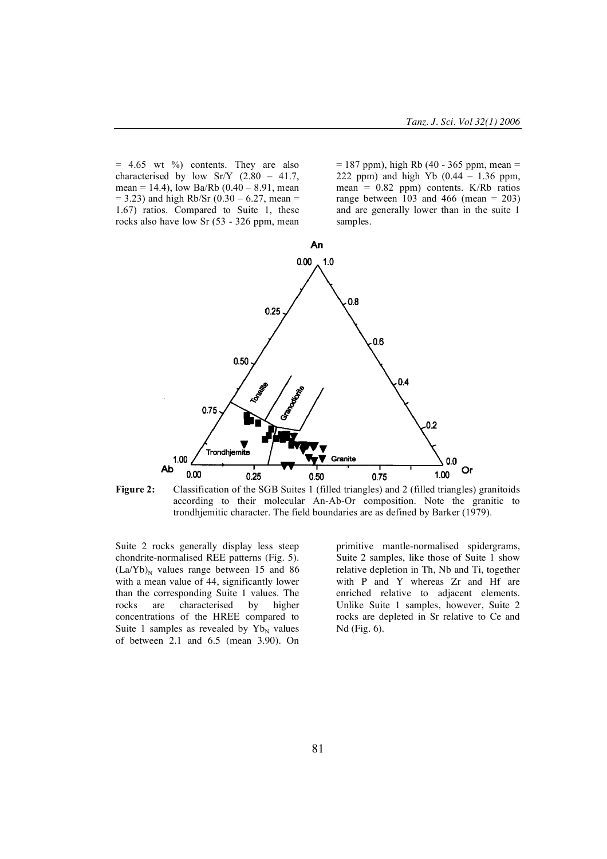$= 4.65$  wt %) contents. They are also characterised by low  $Sr/Y$  (2.80 – 41.7, mean = 14.4), low Ba/Rb  $(0.40 - 8.91)$ , mean  $= 3.23$ ) and high Rb/Sr (0.30 – 6.27, mean = 1.67) ratios. Compared to Suite 1, these rocks also have low Sr (53 - 326 ppm, mean

 $= 187$  ppm), high Rb (40 - 365 ppm, mean  $=$ 222 ppm) and high Yb  $(0.44 - 1.36$  ppm, mean =  $0.82$  ppm) contents. K/Rb ratios range between  $103$  and 466 (mean = 203) and are generally lower than in the suite 1 samples.





**Figure 2:** Classification of the SGB Suites 1 (filled triangles) and 2 (filled triangles) granitoids according to their molecular An-Ab-Or composition. Note the granitic to trondhjemitic character. The field boundaries are as defined by Barker (1979).

Suite 2 rocks generally display less steep chondrite-normalised REE patterns (Fig. 5).  $(La/Yb)<sub>N</sub>$  values range between 15 and 86 with a mean value of 44, significantly lower than the corresponding Suite 1 values. The rocks are characterised by higher concentrations of the HREE compared to Suite 1 samples as revealed by  $Yb_N$  values of between 2.1 and 6.5 (mean 3.90). On

primitive mantle-normalised spidergrams, Suite 2 samples, like those of Suite 1 show relative depletion in Th, Nb and Ti, together with P and Y whereas Zr and Hf are enriched relative to adjacent elements. Unlike Suite 1 samples, however, Suite 2 rocks are depleted in Sr relative to Ce and Nd (Fig. 6).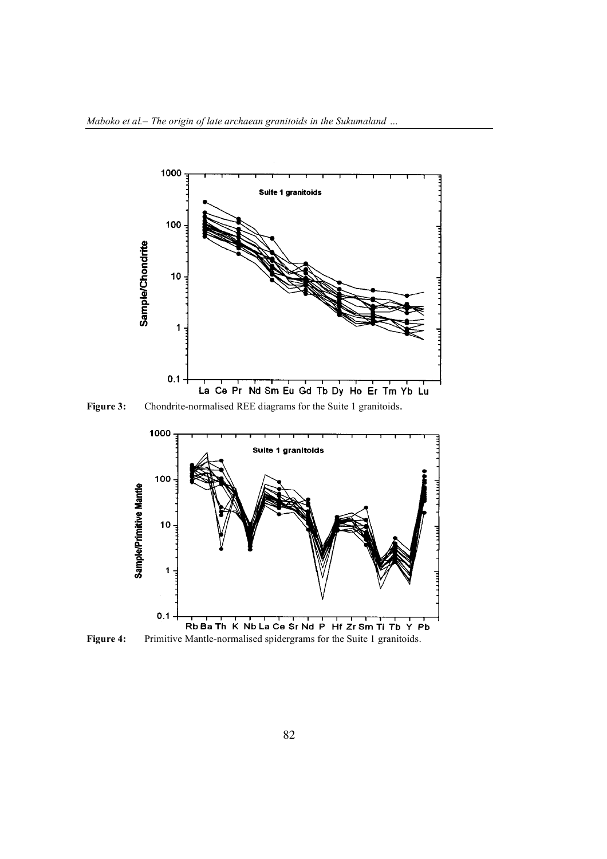

**Figure 3:** Chondrite-normalised REE diagrams for the Suite 1 granitoids.



**Figure 4:** Primitive Mantle-normalised spidergrams for the Suite 1 granitoids.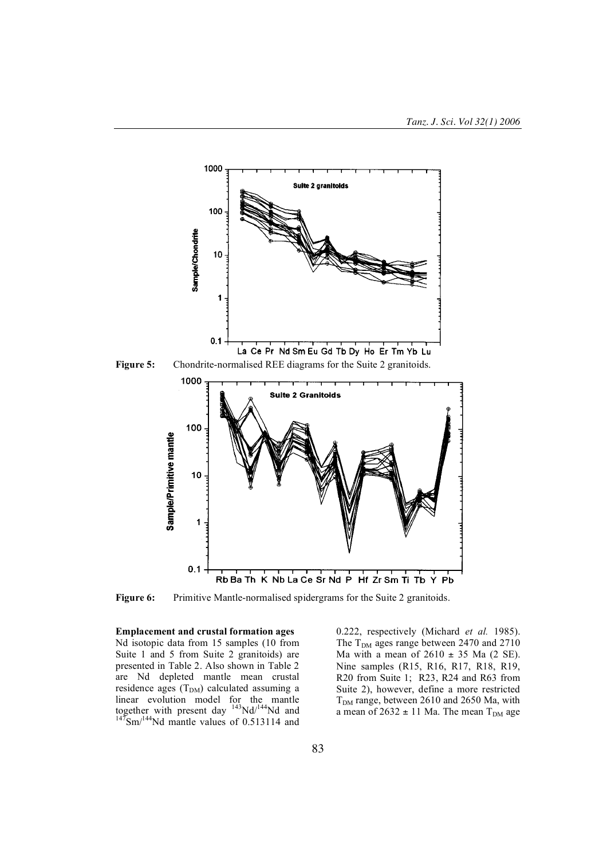

**Figure 5:** Chondrite-normalised REE diagrams for the Suite 2 granitoids.



**Figure 6:** Primitive Mantle-normalised spidergrams for the Suite 2 granitoids.

**Emplacement and crustal formation ages** Nd isotopic data from 15 samples (10 from Suite 1 and 5 from Suite 2 granitoids) are presented in Table 2. Also shown in Table 2 are Nd depleted mantle mean crustal residence ages  $(T<sub>DM</sub>)$  calculated assuming a linear evolution model for the mantle together with present day  $143 \text{Nd}/144 \text{Nd}$  and  $147 \text{Sm}/144 \text{Nd}$  mantle values of 0.513114 and 0.222, respectively (Michard *et al.* 1985). The  $T<sub>DM</sub>$  ages range between 2470 and 2710 Ma with a mean of  $2610 \pm 35$  Ma (2 SE). Nine samples (R15, R16, R17, R18, R19, R20 from Suite 1; R23, R24 and R63 from Suite 2), however, define a more restricted  $T<sub>DM</sub>$  range, between 2610 and 2650 Ma, with a mean of  $2632 \pm 11$  Ma. The mean T<sub>DM</sub> age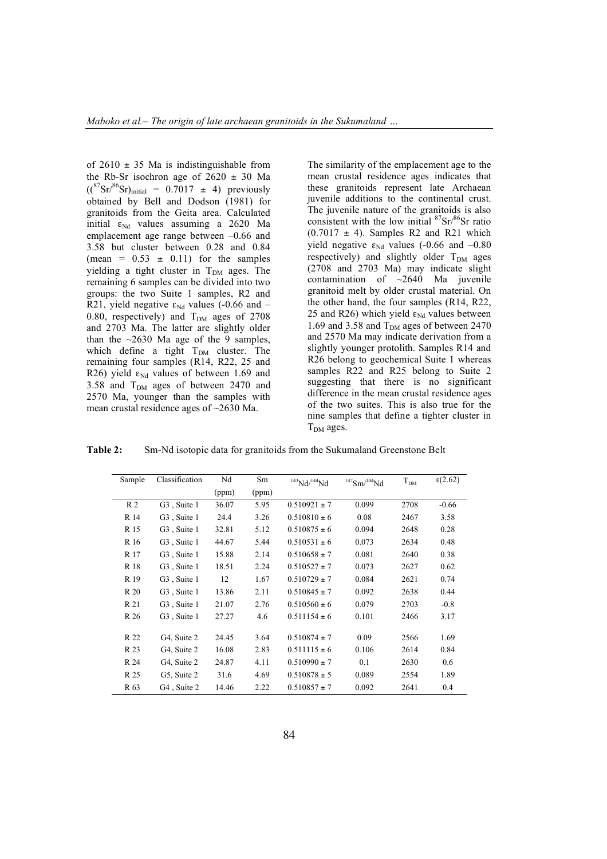of  $2610 \pm 35$  Ma is indistinguishable from the Rb-Sr isochron age of  $2620 \pm 30$  Ma  $({}^{87}\text{Sr})^{86}\text{Sr})_{\text{initial}} = 0.7017 \pm 4$ ) previously obtained by Bell and Dodson (1981) for granitoids from the Geita area. Calculated initial  $\varepsilon_{Nd}$  values assuming a 2620 Ma emplacement age range between –0.66 and 3.58 but cluster between 0.28 and 0.84 (mean =  $0.53 \pm 0.11$ ) for the samples yielding a tight cluster in  $T<sub>DM</sub>$  ages. The remaining 6 samples can be divided into two groups: the two Suite 1 samples, R2 and R21, yield negative  $\varepsilon_{Nd}$  values (-0.66 and – 0.80, respectively) and  $T<sub>DM</sub>$  ages of 2708 and 2703 Ma. The latter are slightly older than the  $\sim$ 2630 Ma age of the 9 samples, which define a tight  $T<sub>DM</sub>$  cluster. The remaining four samples (R14, R22, 25 and R26) yield  $\varepsilon_{Nd}$  values of between 1.69 and 3.58 and  $T<sub>DM</sub>$  ages of between 2470 and 2570 Ma, younger than the samples with mean crustal residence ages of ~2630 Ma.

The similarity of the emplacement age to the mean crustal residence ages indicates that these granitoids represent late Archaean juvenile additions to the continental crust. The juvenile nature of the granitoids is also consistent with the low initial  ${}^{87}Sr/{}^{86}Sr$  ratio  $(0.7017 \pm 4)$ . Samples R2 and R21 which yield negative  $\varepsilon_{Nd}$  values (-0.66 and -0.80 respectively) and slightly older  $T<sub>DM</sub>$  ages (2708 and 2703 Ma) may indicate slight contamination of ~2640 Ma juvenile granitoid melt by older crustal material. On the other hand, the four samples (R14, R22, 25 and R26) which yield  $\varepsilon_{Nd}$  values between 1.69 and 3.58 and  $T_{DM}$  ages of between 2470 and 2570 Ma may indicate derivation from a slightly younger protolith. Samples R14 and R26 belong to geochemical Suite 1 whereas samples R22 and R25 belong to Suite 2 suggesting that there is no significant difference in the mean crustal residence ages of the two suites. This is also true for the nine samples that define a tighter cluster in  $T<sub>DM</sub>$  ages.

**Table 2:** Sm-Nd isotopic data for granitoids from the Sukumaland Greenstone Belt

| Sample         | Classification           | Nd    | Sm    | $143$ Nd/ $144$ Nd | $147$ Sm/ $144$ Nd | $T_{DM}$ | $\epsilon$ (2.62) |
|----------------|--------------------------|-------|-------|--------------------|--------------------|----------|-------------------|
|                |                          | (ppm) | (ppm) |                    |                    |          |                   |
| R <sub>2</sub> | G <sub>3</sub> , Suite 1 | 36.07 | 5.95  | $0.510921 \pm 7$   | 0.099              | 2708     | $-0.66$           |
| R 14           | G <sub>3</sub> Suite 1   | 24.4  | 3.26  | $0.510810 \pm 6$   | 0.08               | 2467     | 3.58              |
| R 15           | G <sub>3</sub> , Suite 1 | 32.81 | 5.12  | $0.510875 \pm 6$   | 0.094              | 2648     | 0.28              |
| R 16           | G <sub>3</sub> Suite 1   | 44.67 | 5.44  | $0.510531 \pm 6$   | 0.073              | 2634     | 0.48              |
| R 17           | G <sub>3</sub> Suite 1   | 15.88 | 2.14  | $0.510658 \pm 7$   | 0.081              | 2640     | 0.38              |
| R 18           | G <sub>3</sub> Suite 1   | 18.51 | 2.24  | $0.510527 \pm 7$   | 0.073              | 2627     | 0.62              |
| R 19           | G <sub>3</sub> , Suite 1 | 12    | 1.67  | $0.510729 \pm 7$   | 0.084              | 2621     | 0.74              |
| R 20           | G <sub>3</sub> Suite 1   | 13.86 | 2.11  | $0.510845 \pm 7$   | 0.092              | 2638     | 0.44              |
| R 21           | G <sub>3</sub> Suite 1   | 21.07 | 2.76  | $0.510560 \pm 6$   | 0.079              | 2703     | $-0.8$            |
| R 26           | G <sub>3</sub> Suite 1   | 27.27 | 4.6   | $0.511154 \pm 6$   | 0.101              | 2466     | 3.17              |
|                |                          |       |       |                    |                    |          |                   |
| R 22           | G4, Suite 2              | 24.45 | 3.64  | $0.510874 \pm 7$   | 0.09               | 2566     | 1.69              |
| R 23           | G4, Suite 2              | 16.08 | 2.83  | $0.511115 \pm 6$   | 0.106              | 2614     | 0.84              |
| R 24           | G4, Suite 2              | 24.87 | 4.11  | $0.510990 \pm 7$   | 0.1                | 2630     | 0.6               |
| R 25           | G5, Suite 2              | 31.6  | 4.69  | $0.510878 \pm 5$   | 0.089              | 2554     | 1.89              |
| R 63           | G <sub>4</sub> Suite 2   | 14.46 | 2.22  | $0.510857 \pm 7$   | 0.092              | 2641     | 0.4               |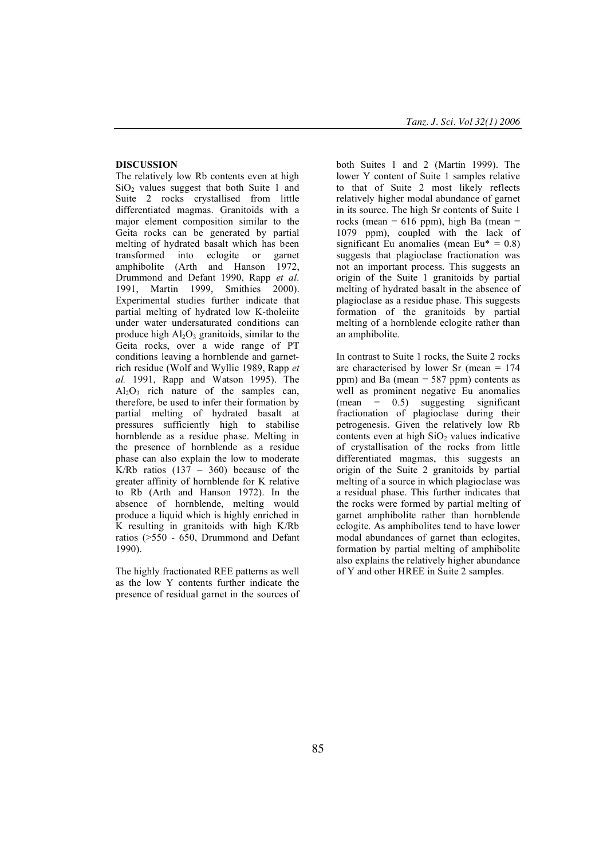## **DISCUSSION**

The relatively low Rb contents even at high  $SiO<sub>2</sub>$  values suggest that both Suite 1 and Suite 2 rocks crystallised from little differentiated magmas. Granitoids with a major element composition similar to the Geita rocks can be generated by partial melting of hydrated basalt which has been transformed into eclogite or garnet amphibolite (Arth and Hanson 1972, Drummond and Defant 1990, Rapp *et al*. 1991, Martin 1999, Smithies 2000). Experimental studies further indicate that partial melting of hydrated low K-tholeiite under water undersaturated conditions can produce high  $Al_2O_3$  granitoids, similar to the Geita rocks, over a wide range of PT conditions leaving a hornblende and garnetrich residue (Wolf and Wyllie 1989, Rapp *et al.* 1991, Rapp and Watson 1995). The  $Al_2O_3$  rich nature of the samples can, therefore, be used to infer their formation by partial melting of hydrated basalt at pressures sufficiently high to stabilise hornblende as a residue phase. Melting in the presence of hornblende as a residue phase can also explain the low to moderate K/Rb ratios  $(137 - 360)$  because of the greater affinity of hornblende for K relative to Rb (Arth and Hanson 1972). In the absence of hornblende, melting would produce a liquid which is highly enriched in K resulting in granitoids with high K/Rb ratios (>550 - 650, Drummond and Defant 1990).

The highly fractionated REE patterns as well as the low Y contents further indicate the presence of residual garnet in the sources of both Suites 1 and 2 (Martin 1999). The lower Y content of Suite 1 samples relative to that of Suite 2 most likely reflects relatively higher modal abundance of garnet in its source. The high Sr contents of Suite 1 rocks (mean =  $616$  ppm), high Ba (mean = 1079 ppm), coupled with the lack of significant Eu anomalies (mean  $Eu^* = 0.8$ ) suggests that plagioclase fractionation was not an important process. This suggests an origin of the Suite 1 granitoids by partial melting of hydrated basalt in the absence of plagioclase as a residue phase. This suggests formation of the granitoids by partial melting of a hornblende eclogite rather than an amphibolite.

In contrast to Suite 1 rocks, the Suite 2 rocks are characterised by lower Sr (mean = 174 ppm) and Ba (mean = 587 ppm) contents as well as prominent negative Eu anomalies (mean = 0.5) suggesting significant fractionation of plagioclase during their petrogenesis. Given the relatively low Rb contents even at high  $SiO<sub>2</sub>$  values indicative of crystallisation of the rocks from little differentiated magmas, this suggests an origin of the Suite 2 granitoids by partial melting of a source in which plagioclase was a residual phase. This further indicates that the rocks were formed by partial melting of garnet amphibolite rather than hornblende eclogite. As amphibolites tend to have lower modal abundances of garnet than eclogites, formation by partial melting of amphibolite also explains the relatively higher abundance of Y and other HREE in Suite 2 samples.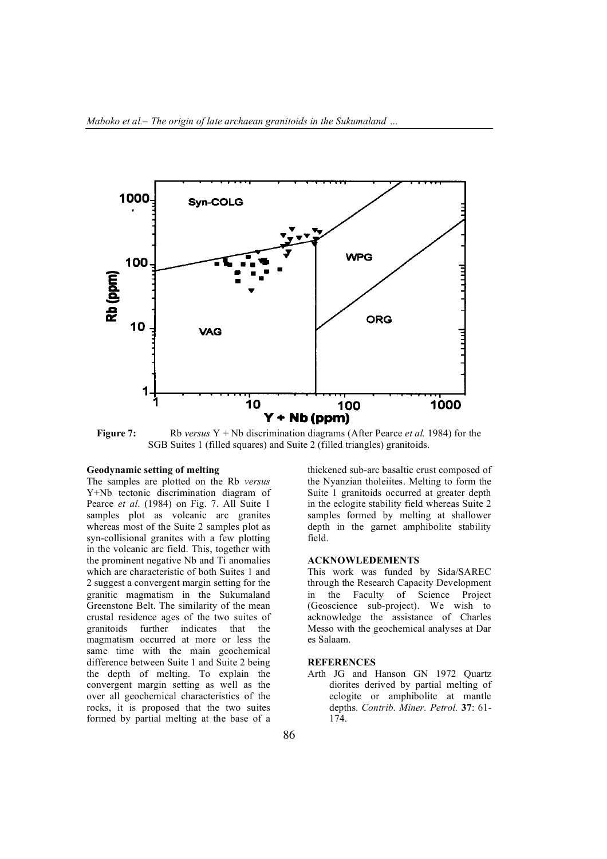

**Figure 7:** Rb *versus* Y + Nb discrimination diagrams (After Pearce *et al.* 1984) for the SGB Suites 1 (filled squares) and Suite 2 (filled triangles) granitoids.

#### **Geodynamic setting of melting**

The samples are plotted on the Rb *versus* Y+Nb tectonic discrimination diagram of Pearce *et al*. (1984) on Fig. 7. All Suite 1 samples plot as volcanic arc granites whereas most of the Suite 2 samples plot as syn-collisional granites with a few plotting in the volcanic arc field. This, together with the prominent negative Nb and Ti anomalies which are characteristic of both Suites 1 and 2 suggest a convergent margin setting for the granitic magmatism in the Sukumaland Greenstone Belt. The similarity of the mean crustal residence ages of the two suites of granitoids further indicates that the magmatism occurred at more or less the same time with the main geochemical difference between Suite 1 and Suite 2 being the depth of melting. To explain the convergent margin setting as well as the over all geochemical characteristics of the rocks, it is proposed that the two suites formed by partial melting at the base of a

thickened sub-arc basaltic crust composed of the Nyanzian tholeiites. Melting to form the Suite 1 granitoids occurred at greater depth in the eclogite stability field whereas Suite 2 samples formed by melting at shallower depth in the garnet amphibolite stability field.

### **ACKNOWLEDEMENTS**

This work was funded by Sida/SAREC through the Research Capacity Development in the Faculty of Science Project (Geoscience sub-project). We wish to acknowledge the assistance of Charles Messo with the geochemical analyses at Dar es Salaam.

#### **REFERENCES**

Arth JG and Hanson GN 1972 Quartz diorites derived by partial melting of eclogite or amphibolite at mantle depths. *Contrib. Miner. Petrol.* **37**: 61- 174.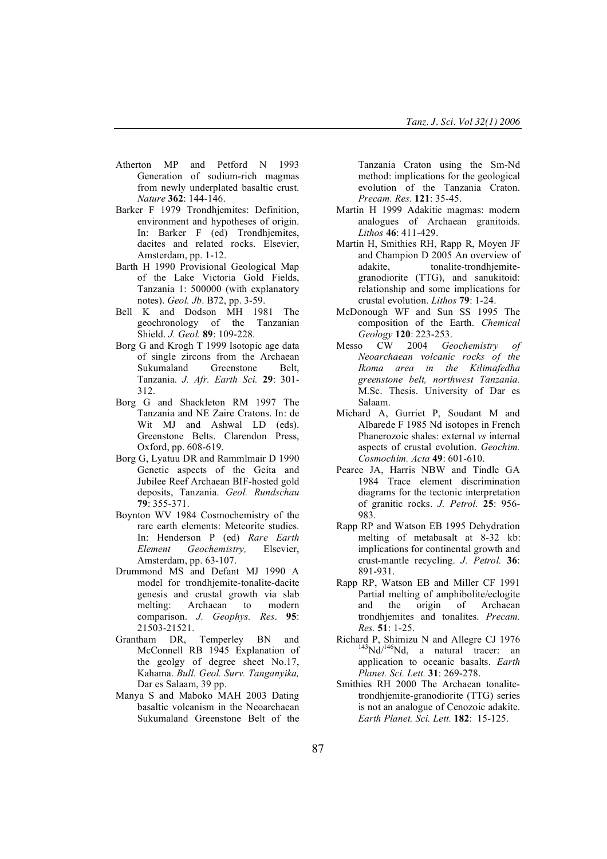- Atherton MP and Petford N 1993 Generation of sodium-rich magmas from newly underplated basaltic crust. *Nature* **362**: 144-146.
- Barker F 1979 Trondhjemites: Definition, environment and hypotheses of origin. In: Barker F (ed) Trondhjemites, dacites and related rocks. Elsevier, Amsterdam, pp. 1-12.
- Barth H 1990 Provisional Geological Map of the Lake Victoria Gold Fields, Tanzania 1: 500000 (with explanatory notes). *Geol. Jb*. B72, pp. 3-59.
- Bell K and Dodson MH 1981 The geochronology of the Tanzanian Shield. *J. Geol.* **89**: 109-228.
- Borg G and Krogh T 1999 Isotopic age data of single zircons from the Archaean Sukumaland Greenstone Belt, Tanzania. *J. Afr. Earth Sci.* **29**: 301- 312.
- Borg G and Shackleton RM 1997 The Tanzania and NE Zaire Cratons. In: de Wit MJ and Ashwal LD (eds). Greenstone Belts. Clarendon Press, Oxford, pp. 608-619.
- Borg G, Lyatuu DR and Rammlmair D 1990 Genetic aspects of the Geita and Jubilee Reef Archaean BIF-hosted gold deposits, Tanzania. *Geol. Rundschau* **79**: 355-371.
- Boynton WV 1984 Cosmochemistry of the rare earth elements: Meteorite studies. In: Henderson P (ed) *Rare Earth Element Geochemistry,* Elsevier, Amsterdam, pp. 63-107.
- Drummond MS and Defant MJ 1990 A model for trondhjemite-tonalite-dacite genesis and crustal growth via slab melting: Archaean to modern comparison. *J. Geophys. Res*. **95**: 21503-21521.
- Grantham DR, Temperley BN and McConnell RB 1945 Explanation of the geolgy of degree sheet No.17, Kahama. *Bull. Geol. Surv. Tanganyika,* Dar es Salaam, 39 pp.
- Manya S and Maboko MAH 2003 Dating basaltic volcanism in the Neoarchaean Sukumaland Greenstone Belt of the

Tanzania Craton using the Sm-Nd method: implications for the geological evolution of the Tanzania Craton. *Precam. Res.* **121**: 35-45.

- Martin H 1999 Adakitic magmas: modern analogues of Archaean granitoids. *Lithos* **46**: 411-429.
- Martin H, Smithies RH, Rapp R, Moyen JF and Champion D 2005 An overview of adakite. tonalite-trondhiemitegranodiorite (TTG), and sanukitoid: relationship and some implications for crustal evolution. *Lithos* **79**: 1-24.
- McDonough WF and Sun SS 1995 The composition of the Earth. *Chemical Geology* **120**: 223-253.
- Messo CW 2004 *Geochemistry of Neoarchaean volcanic rocks of the Ikoma area in the Kilimafedha greenstone belt, northwest Tanzania.* M.Sc. Thesis. University of Dar es Salaam.
- Michard A, Gurriet P, Soudant M and Albarede F 1985 Nd isotopes in French Phanerozoic shales: external *vs* internal aspects of crustal evolution. *Geochim. Cosmochim. Acta* **49**: 601-610.
- Pearce JA, Harris NBW and Tindle GA 1984 Trace element discrimination diagrams for the tectonic interpretation of granitic rocks. *J. Petrol.* **25**: 956- 983.
- Rapp RP and Watson EB 1995 Dehydration melting of metabasalt at 8-32 kb: implications for continental growth and crust-mantle recycling. *J. Petrol.* **36**: 891-931.
- Rapp RP, Watson EB and Miller CF 1991 Partial melting of amphibolite/eclogite and the origin of Archaean trondhjemites and tonalites. *Precam. Res.* **51**: 1-25.
- Richard P, Shimizu N and Allegre CJ 1976 Nd/<sup>146</sup>Nd, a natural tracer: an application to oceanic basalts. *Earth Planet. Sci. Lett.* **31**: 269-278.
- Smithies RH 2000 The Archaean tonalitetrondhjemite-granodiorite (TTG) series is not an analogue of Cenozoic adakite. *Earth Planet. Sci. Lett.* **182**: 15-125.